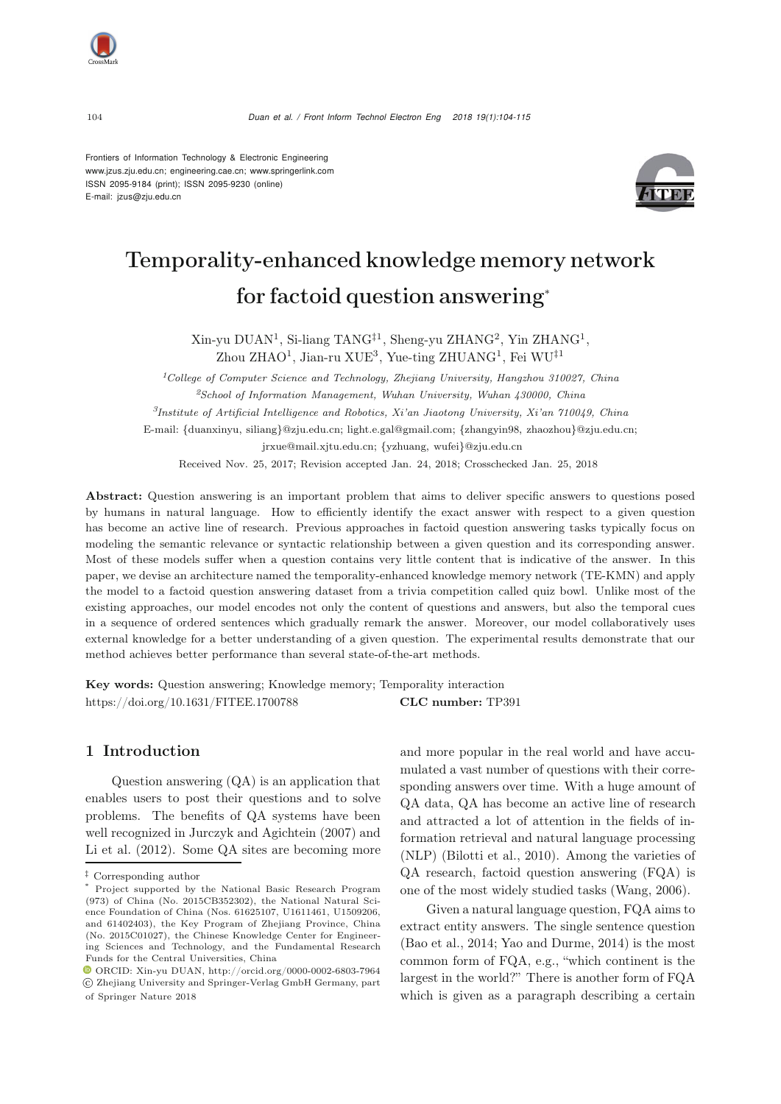Frontiers of Information Technology & Electronic Engineering [www.jzus.zju.edu.cn;](www.jzus.zju.edu.cn) [engineering.cae.cn;](engineering.cae.cn)<www.springerlink.com> ISSN 2095-9184 (print); ISSN 2095-9230 (online) E-mail: jzus@zju.edu.cn



# Temporality-enhanced knowledge memory network for factoid question answering<sup>∗</sup>

Xin-yu DUAN<sup>1</sup>, Si-liang TANG‡<sup>1</sup>, Sheng-yu ZHANG<sup>2</sup>, Yin ZHANG<sup>1</sup>, Zhou ZHAO<sup>1</sup>, Jian-ru XUE<sup>3</sup>, Yue-ting ZHUANG<sup>1</sup>, Fei WU<sup>‡1</sup>

*<sup>1</sup>College of Computer Science and Technology, Zhejiang University, Hangzhou 310027, China <sup>2</sup>School of Information Management, Wuhan University, Wuhan 430000, China*

*<sup>3</sup>Institute of Artificial Intelligence and Robotics, Xi'an Jiaotong University, Xi'an 710049, China*

E-mail: {duanxinyu, siliang}@zju.edu.cn; light.e.gal@gmail.com; {zhangyin98, zhaozhou}@zju.edu.cn; jrxue@mail.xjtu.edu.cn; {yzhuang, wufei}@zju.edu.cn

Received Nov. 25, 2017; Revision accepted Jan. 24, 2018; Crosschecked Jan. 25, 2018

Abstract: Question answering is an important problem that aims to deliver specific answers to questions posed by humans in natural language. How to efficiently identify the exact answer with respect to a given question has become an active line of research. Previous approaches in factoid question answering tasks typically focus on modeling the semantic relevance or syntactic relationship between a given question and its corresponding answer. Most of these models suffer when a question contains very little content that is indicative of the answer. In this paper, we devise an architecture named the temporality-enhanced knowledge memory network (TE-KMN) and apply the model to a factoid question answering dataset from a trivia competition called quiz bowl. Unlike most of the existing approaches, our model encodes not only the content of questions and answers, but also the temporal cues in a sequence of ordered sentences which gradually remark the answer. Moreover, our model collaboratively uses external knowledge for a better understanding of a given question. The experimental results demonstrate that our method achieves better performance than several state-of-the-art methods.

Key words: Question answering; Knowledge memory; Temporality interaction https://doi.org/10.1631/FITEE.1700788 CLC number: TP391

# <span id="page-0-0"></span>1 Introduction

Question answering (QA) is an application that enables users to post their questions and to solve problems. The benefits of QA systems have been well recognized in [Jurczyk and Agichtein](#page-10-0) [\(2007\)](#page-10-0) and [Li et al.](#page-10-1) [\(2012](#page-10-1)). Some QA sites are becoming more

and more popular in the real world and have accumulated a vast number of questions with their corresponding answers over time. With a huge amount of QA data, QA has become an active line of research and attracted a lot of attention in the fields of information retrieval and natural language processing (NLP) [\(Bilotti et al.](#page-9-0), [2010](#page-9-0)). Among the varieties of QA research, factoid question answering (FQA) is one of the most widely studied tasks [\(Wang](#page-10-2), [2006](#page-10-2)).

Given a natural language question, FQA aims to extract entity answers. The single sentence question [\(Bao et al., 2014;](#page-9-1) [Yao and Durme](#page-11-0), [2014](#page-11-0)) is the most common form of FQA, e.g., "which continent is the largest in the world?" There is another form of FQA which is given as a paragraph describing a certain

*<sup>‡</sup>* Corresponding author

Project supported by the National Basic Research Program (973) of China (No. 2015CB352302), the National Natural Science Foundation of China (Nos. 61625107, U1611461, U1509206, and 61402403), the Key Program of Zhejiang Province, China (No. 2015C01027), the Chinese Knowledge Center for Engineering Sciences and Technology, and the Fundamental Research Funds for the Central Universities, China

ORCID: Xin-yu DUAN, http://orcid.org/0000-0002-6803-7964 c Zhejiang University and Springer-Verlag GmbH Germany, part of Springer Nature 2018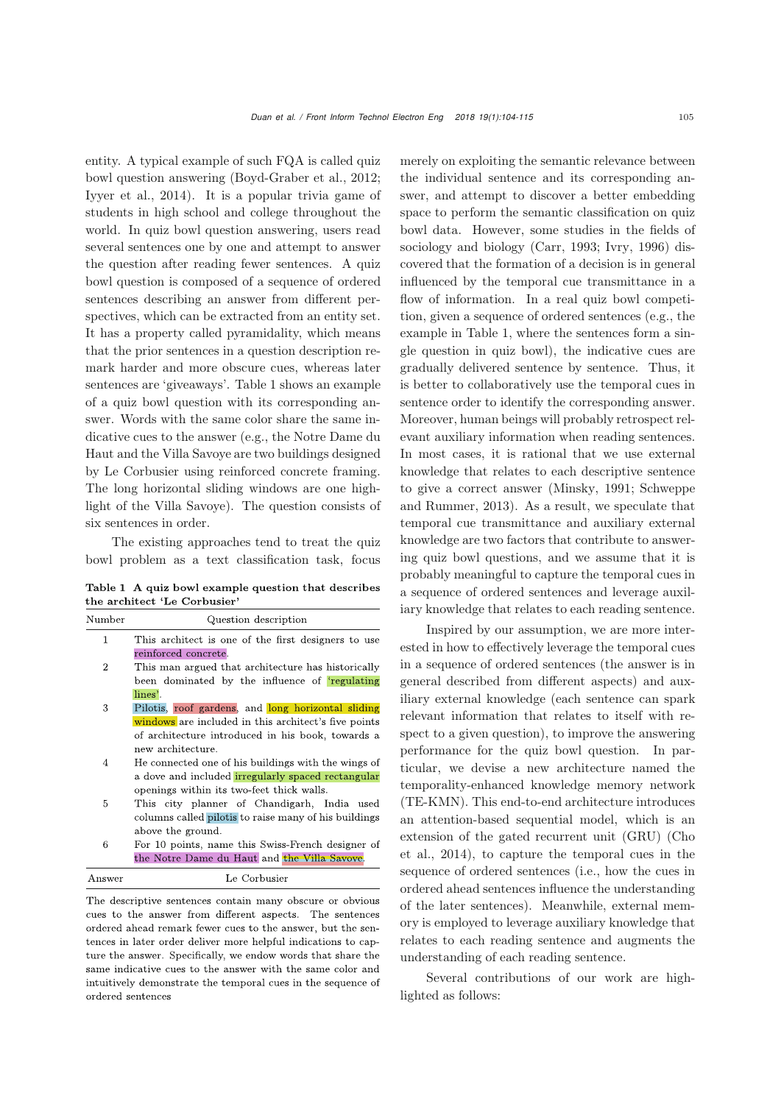entity. A typical example of such FQA is called quiz bowl question answering [\(Boyd-Graber et al.](#page-9-2), [2012;](#page-9-2) [Iyyer et al., 2014](#page-10-3)). It is a popular trivia game of students in high school and college throughout the world. In quiz bowl question answering, users read several sentences one by one and attempt to answer the question after reading fewer sentences. A quiz bowl question is composed of a sequence of ordered sentences describing an answer from different perspectives, which can be extracted from an entity set. It has a property called pyramidality, which means that the prior sentences in a question description remark harder and more obscure cues, whereas later sentences are 'giveaways'. Table [1](#page-0-0) shows an example of a quiz bowl question with its corresponding answer. Words with the same color share the same indicative cues to the answer (e.g., the Notre Dame du Haut and the Villa Savoye are two buildings designed by Le Corbusier using reinforced concrete framing. The long horizontal sliding windows are one highlight of the Villa Savoye). The question consists of six sentences in order.

The existing approaches tend to treat the quiz bowl problem as a text classification task, focus

Table 1 A quiz bowl example question that describes the architect 'Le Corbusier'

| Number         | Question description                                  |  |  |  |  |  |  |  |
|----------------|-------------------------------------------------------|--|--|--|--|--|--|--|
| 1              | This architect is one of the first designers to use   |  |  |  |  |  |  |  |
|                | reinforced concrete.                                  |  |  |  |  |  |  |  |
| $\overline{2}$ | This man argued that architecture has historically    |  |  |  |  |  |  |  |
|                | been dominated by the influence of 'regulating'       |  |  |  |  |  |  |  |
|                | lines'.                                               |  |  |  |  |  |  |  |
| 3              | Pilotis, roof gardens, and long horizontal sliding    |  |  |  |  |  |  |  |
|                | windows are included in this architect's five points  |  |  |  |  |  |  |  |
|                | of architecture introduced in his book, towards a     |  |  |  |  |  |  |  |
|                | new architecture.                                     |  |  |  |  |  |  |  |
| 4              | He connected one of his buildings with the wings of   |  |  |  |  |  |  |  |
|                | a dove and included irregularly spaced rectangular    |  |  |  |  |  |  |  |
|                | openings within its two-feet thick walls.             |  |  |  |  |  |  |  |
| 5              | This city planner of Chandigarh, India used           |  |  |  |  |  |  |  |
|                | columns called pilotis to raise many of his buildings |  |  |  |  |  |  |  |
|                | above the ground.                                     |  |  |  |  |  |  |  |
| 6              | For 10 points, name this Swiss-French designer of     |  |  |  |  |  |  |  |
|                | the Notre Dame du Haut and the Villa Savove.          |  |  |  |  |  |  |  |

The descriptive sentences contain many obscure or obvious cues to the answer from different aspects. The sentences ordered ahead remark fewer cues to the answer, but the sentences in later order deliver more helpful indications to capture the answer. Specifically, we endow words that share the same indicative cues to the answer with the same color and intuitively demonstrate the temporal cues in the sequence of  $ordered$   $sentences$ 

merely on exploiting the semantic relevance between the individual sentence and its corresponding answer, and attempt to discover a better embedding space to perform the semantic classification on quiz bowl data. However, some studies in the fields of sociology and biology [\(Carr](#page-9-3), [1993](#page-9-3); [Ivry, 1996\)](#page-10-4) discovered that the formation of a decision is in general influenced by the temporal cue transmittance in a flow of information. In a real quiz bowl competition, given a sequence of ordered sentences (e.g., the example in Table [1,](#page-0-0) where the sentences form a single question in quiz bowl), the indicative cues are gradually delivered sentence by sentence. Thus, it is better to collaboratively use the temporal cues in sentence order to identify the corresponding answer. Moreover, human beings will probably retrospect relevant auxiliary information when reading sentences. In most cases, it is rational that we use external knowledge that relates to each descriptive sentence to give a co[rrect](#page-10-6) [answer](#page-10-6) [\(Minsky](#page-10-5)[,](#page-10-6) [1991](#page-10-5)[;](#page-10-6) Schweppe and Rummer, [2013\)](#page-10-6). As a result, we speculate that temporal cue transmittance and auxiliary external knowledge are two factors that contribute to answering quiz bowl questions, and we assume that it is probably meaningful to capture the temporal cues in a sequence of ordered sentences and leverage auxiliary knowledge that relates to each reading sentence.

Inspired by our assumption, we are more interested in how to effectively leverage the temporal cues in a sequence of ordered sentences (the answer is in general described from different aspects) and auxiliary external knowledge (each sentence can spark relevant information that relates to itself with respect to a given question), to improve the answering performance for the quiz bowl question. In particular, we devise a new architecture named the temporality-enhanced knowledge memory network (TE-KMN). This end-to-end architecture introduces an attention-based sequential model, which is an exten[sion](#page-9-4) [of](#page-9-4) [the](#page-9-4) [gated](#page-9-4) [recurrent](#page-9-4) [unit](#page-9-4) [\(GRU\)](#page-9-4) [\(](#page-9-4)Cho et al., [2014](#page-9-4)), to capture the temporal cues in the sequence of ordered sentences (i.e., how the cues in ordered ahead sentences influence the understanding of the later sentences). Meanwhile, external memory is employed to leverage auxiliary knowledge that relates to each reading sentence and augments the understanding of each reading sentence.

Several contributions of our work are highlighted as follows: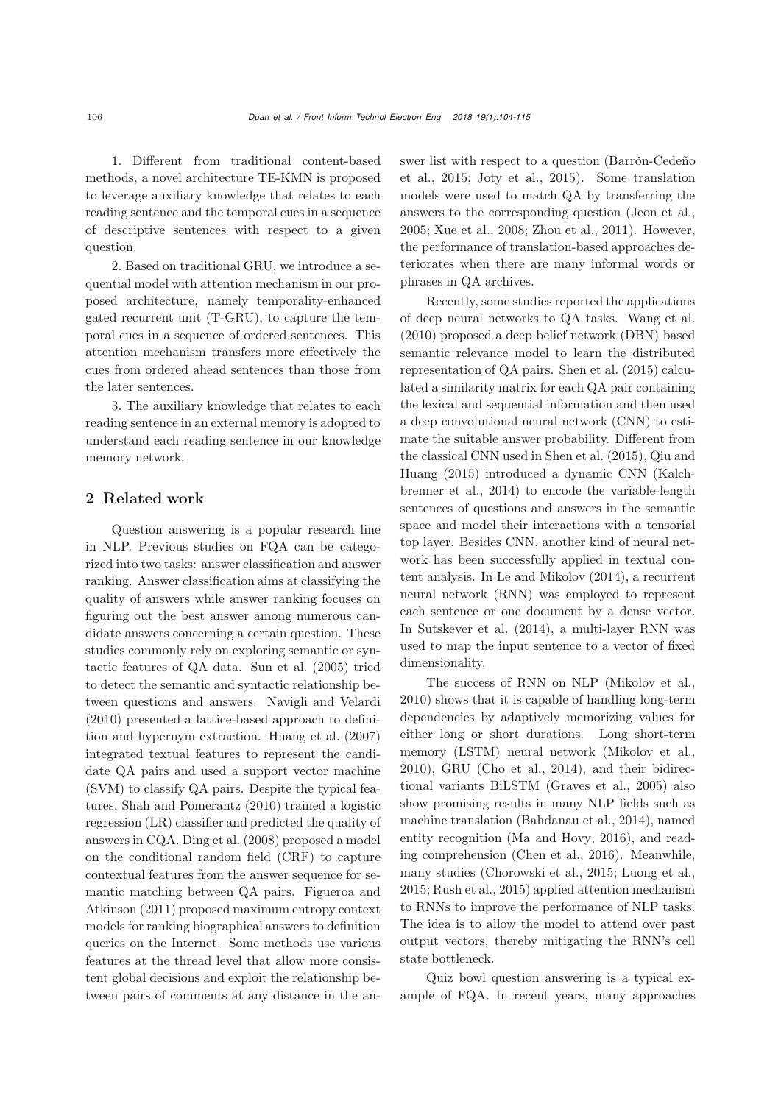1. Different from traditional content-based methods, a novel architecture TE-KMN is proposed to leverage auxiliary knowledge that relates to each reading sentence and the temporal cues in a sequence of descriptive sentences with respect to a given question.

2. Based on traditional GRU, we introduce a sequential model with attention mechanism in our proposed architecture, namely temporality-enhanced gated recurrent unit (T-GRU), to capture the temporal cues in a sequence of ordered sentences. This attention mechanism transfers more effectively the cues from ordered ahead sentences than those from the later sentences.

3. The auxiliary knowledge that relates to each reading sentence in an external memory is adopted to understand each reading sentence in our knowledge memory network.

# 2 Related work

Question answering is a popular research line in NLP. Previous studies on FQA can be categorized into two tasks: answer classification and answer ranking. Answer classification aims at classifying the quality of answers while answer ranking focuses on figuring out the best answer among numerous candidate answers concerning a certain question. These studies commonly rely on exploring semantic or syntactic features of QA data. [Sun et al.](#page-10-7) [\(2005](#page-10-7)) tried to detect the semantic and syntactic relationship between questions and answers. [Navigli and Velardi](#page-10-8) [\(2010](#page-10-8)) presented a lattice-based approach to definition and hypernym extraction. [Huang et al.](#page-10-9) [\(2007](#page-10-9)) integrated textual features to represent the candidate QA pairs and used a support vector machine (SVM) to classify QA pairs. Despite the typical features, [Shah and Pomerantz](#page-10-10) [\(2010\)](#page-10-10) trained a logistic regression (LR) classifier and predicted the quality of answers in CQA. [Ding et al.](#page-9-5) [\(2008](#page-9-5)) proposed a model on the conditional random field (CRF) to capture contextual features from the answer sequence for semantic [matching](#page-9-6) [between](#page-9-6) [QA](#page-9-6) [pairs.](#page-9-6) Figueroa and Atkinson [\(2011](#page-9-6)) proposed maximum entropy context models for ranking biographical answers to definition queries on the Internet. Some methods use various features at the thread level that allow more consistent global decisions and exploit the relationship between pairs of comments at any distance in the answer [list](#page-9-7) [with](#page-9-7) [respect](#page-9-7) [to](#page-9-7) [a](#page-9-7) [question](#page-9-7) [\(](#page-9-7)Barrón-Cedeño et al., [2015;](#page-9-7) [Joty et al.](#page-10-11), [2015\)](#page-10-11). Some translation models were used to match QA by transferring the answers to the corresponding question [\(Jeon et al.](#page-10-12), [2005](#page-10-12); [Xue et al., 2008;](#page-10-13) [Zhou et al.](#page-11-1), [2011](#page-11-1)). However, the performance of translation-based approaches deteriorates when there are many informal words or phrases in QA archives.

Recently, some studies reported the applications of deep neural networks to QA tasks. [Wang et al.](#page-10-14) [\(2010](#page-10-14)) proposed a deep belief network (DBN) based semantic relevance model to learn the distributed representation of QA pairs. [Shen et al.](#page-10-15) [\(2015](#page-10-15)) calculated a similarity matrix for each QA pair containing the lexical and sequential information and then used a deep convolutional neural network (CNN) to estimate the suitable answer probability. Different from the cla[ssical](#page-10-16) [CNN](#page-10-16) [used](#page-10-16) [in](#page-10-16) [Shen et al.](#page-10-15) [\(2015](#page-10-15)[\),](#page-10-16) Qiu and Huang [\(2015\)](#page-10-16) introduced a dynamic CNN (Kalchbrenner et al., [2014\)](#page-10-17) to encode the variable-length sentences of questions and answers in the semantic space and model their interactions with a tensorial top layer. Besides CNN, another kind of neural network has been successfully applied in textual content analysis. In [Le and Mikolov](#page-10-18) [\(2014](#page-10-18)), a recurrent neural network (RNN) was employed to represent each sentence or one document by a dense vector. In [Sutskever et al.](#page-10-19) [\(2014\)](#page-10-19), a multi-layer RNN was used to map the input sentence to a vector of fixed dimensionality.

The success of RNN on NLP [\(Mikolov et al.](#page-10-20), [2010](#page-10-20)) shows that it is capable of handling long-term dependencies by adaptively memorizing values for either long or short durations. Long short-term memory (LSTM) neural network [\(Mikolov et al.](#page-10-20), [2010](#page-10-20)), GRU [\(Cho et al.](#page-9-4), [2014](#page-9-4)), and their bidirectional variants BiLSTM [\(Graves et al., 2005](#page-9-8)) also show promising results in many NLP fields such as machine translation [\(Bahdanau et al.](#page-9-9), [2014\)](#page-9-9), named entity recognition [\(Ma and Hovy, 2016](#page-10-21)), and reading comprehension [\(Chen et al.](#page-9-10), [2016\)](#page-9-10). Meanwhile, many studies [\(Chorowski et al.](#page-9-11), [2015;](#page-9-11) [Luong et al.](#page-10-22), [2015](#page-10-22); [Rush et al., 2015\)](#page-10-23) applied attention mechanism to RNNs to improve the performance of NLP tasks. The idea is to allow the model to attend over past output vectors, thereby mitigating the RNN's cell state bottleneck.

Quiz bowl question answering is a typical example of FQA. In recent years, many approaches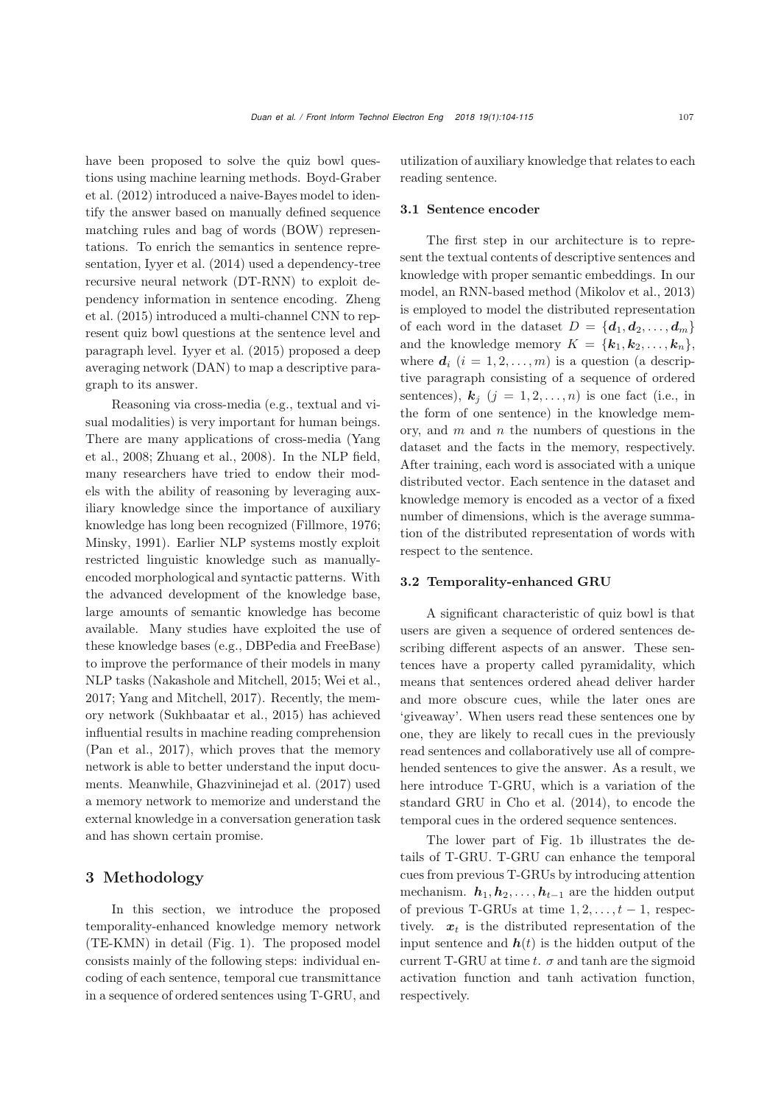have been proposed to solve the quiz bowl question[s](#page-9-2) [using](#page-9-2) [machine](#page-9-2) [learning](#page-9-2) [methods.](#page-9-2) Boyd-Graber et al. [\(2012\)](#page-9-2) introduced a naive-Bayes model to identify the answer based on manually defined sequence matching rules and bag of words (BOW) representations. To enrich the semantics in sentence representation, [Iyyer et al.](#page-10-3) [\(2014](#page-10-3)) used a dependency-tree recursive neural network (DT-RNN) to exploit depend[ency](#page-11-2) [information](#page-11-2) [in](#page-11-2) [sentence](#page-11-2) [encoding.](#page-11-2) Zheng et al. [\(2015\)](#page-11-2) introduced a multi-channel CNN to represent quiz bowl questions at the sentence level and paragraph level. [Iyyer et al.](#page-10-24) [\(2015](#page-10-24)) proposed a deep averaging network (DAN) to map a descriptive paragraph to its answer.

Reasoning via cross-media (e.g., textual and visual modalities) is very important for human beings. Ther[e](#page-11-3) [are](#page-11-3) [many](#page-11-3) [applications](#page-11-3) [of](#page-11-3) [cross-media](#page-11-3) [\(](#page-11-3)Yang et al., [2008;](#page-11-3) [Zhuang et al., 2008\)](#page-11-4). In the NLP field, many researchers have tried to endow their models with the ability of reasoning by leveraging auxiliary knowledge since the importance of auxiliary knowledge has long been recognized [\(Fillmore](#page-9-12), [1976;](#page-9-12) [Minsky](#page-10-5), [1991](#page-10-5)). Earlier NLP systems mostly exploit restricted linguistic knowledge such as manuallyencoded morphological and syntactic patterns. With the advanced development of the knowledge base, large amounts of semantic knowledge has become available. Many studies have exploited the use of these knowledge bases (e.g., DBPedia and FreeBase) to improve the performance of their models in many NLP tasks [\(Nakashole and Mitchell, 2015](#page-10-25); [Wei et al.](#page-10-26), [2017](#page-10-26); [Yang and Mitchell](#page-11-5), [2017\)](#page-11-5). Recently, the memory network [\(Sukhbaatar et al.](#page-10-27), [2015\)](#page-10-27) has achieved influential results in machine reading comprehension [\(Pan et al., 2017](#page-10-28)), which proves that the memory network is able to better understand the input documents. Meanwhile, [Ghazvininejad et al.](#page-9-13) [\(2017](#page-9-13)) used a memory network to memorize and understand the external knowledge in a conversation generation task and has shown certain promise.

# 3 Methodology

In this section, we introduce the proposed temporality-enhanced knowledge memory network (TE-KMN) in detail (Fig. [1\)](#page-4-0). The proposed model consists mainly of the following steps: individual encoding of each sentence, temporal cue transmittance in a sequence of ordered sentences using T-GRU, and

utilization of auxiliary knowledge that relates to each reading sentence.

## 3.1 Sentence encoder

The first step in our architecture is to represent the textual contents of descriptive sentences and knowledge with proper semantic embeddings. In our model, an RNN-based method [\(Mikolov et al., 2013](#page-10-29)) is employed to model the distributed representation of each word in the dataset  $D = \{d_1, d_2, \ldots, d_m\}$ and the knowledge memory  $K = \{k_1, k_2, \ldots, k_n\},\$ where  $d_i$   $(i = 1, 2, \ldots, m)$  is a question (a descriptive paragraph consisting of a sequence of ordered sentences),  $\mathbf{k}_i$  ( $j = 1, 2, ..., n$ ) is one fact (i.e., in the form of one sentence) in the knowledge memory, and  $m$  and  $n$  the numbers of questions in the dataset and the facts in the memory, respectively. After training, each word is associated with a unique distributed vector. Each sentence in the dataset and knowledge memory is encoded as a vector of a fixed number of dimensions, which is the average summation of the distributed representation of words with respect to the sentence.

# 3.2 Temporality-enhanced GRU

A significant characteristic of quiz bowl is that users are given a sequence of ordered sentences describing different aspects of an answer. These sentences have a property called pyramidality, which means that sentences ordered ahead deliver harder and more obscure cues, while the later ones are 'giveaway'. When users read these sentences one by one, they are likely to recall cues in the previously read sentences and collaboratively use all of comprehended sentences to give the answer. As a result, we here introduce T-GRU, which is a variation of the standard GRU in [Cho et al.](#page-9-4) [\(2014\)](#page-9-4), to encode the temporal cues in the ordered sequence sentences.

The lower part of Fig. [1b](#page-4-0) illustrates the details of T-GRU. T-GRU can enhance the temporal cues from previous T-GRUs by introducing attention mechanism.  $h_1, h_2, \ldots, h_{t-1}$  are the hidden output of previous T-GRUs at time  $1, 2, \ldots, t-1$ , respectively.  $x_t$  is the distributed representation of the input sentence and  $h(t)$  is the hidden output of the current T-GRU at time t.  $\sigma$  and tanh are the sigmoid activation function and tanh activation function, respectively.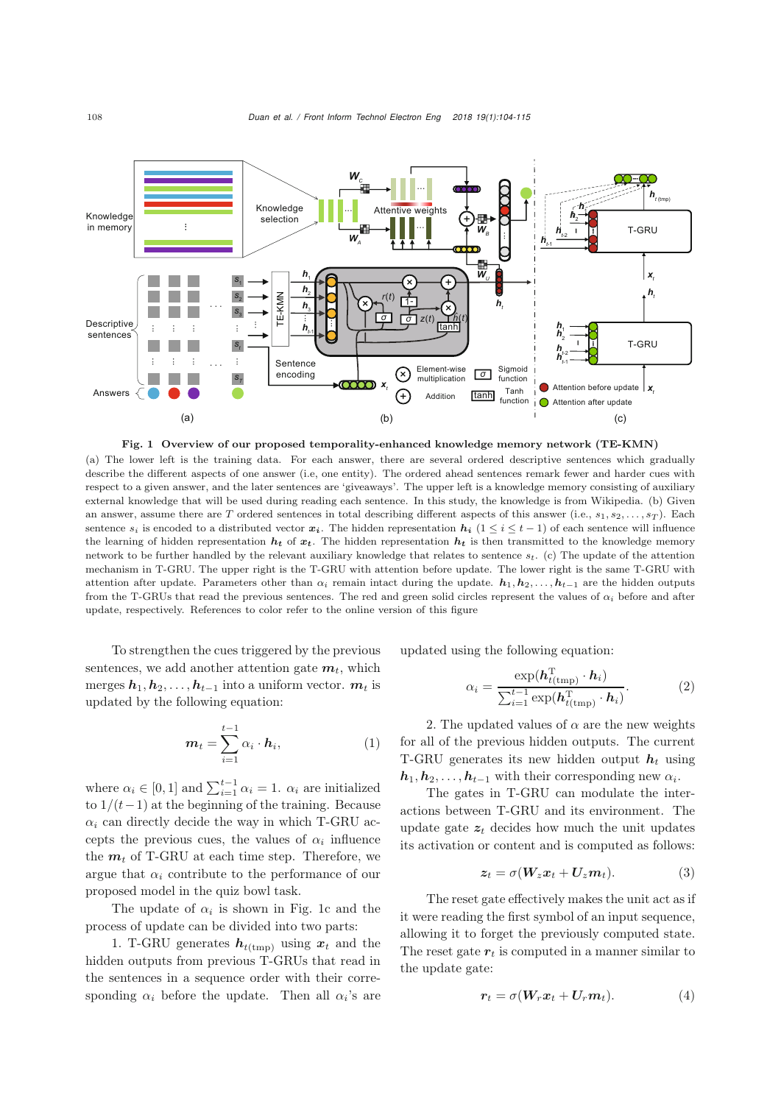

<span id="page-4-0"></span>(a) The lower left is the training data. For each answer, there are several ordered descriptive sentences which gradually describe the different aspects of one answer (i.e, one entity). The ordered ahead sentences remark fewer and harder cues with respect to a given answer, and the later sentences are 'giveaways'. The upper left is a knowledge memory consisting of auxiliary external knowledge that will be used during reading each sentence. In this study, the knowledge is from Wikipedia. (b) Given an answer, assume there are T ordered sentences in total describing different aspects of this answer (i.e.,  $s_1, s_2, \ldots, s_T$ ). Each sentence  $s_i$  is encoded to a distributed vector  $x_i$ . The hidden representation  $h_i$  (1 ≤ *i* ≤ *t* − 1) of each sentence will influence the learning of hidden representation  $h_t$  of  $x_t$ . The hidden representation  $h_t$  is then transmitted to the knowledge memory network to be further handled by the relevant auxiliary knowledge that relates to sentence s*t*. (c) The update of the attention mechanism in T-GRU. The upper right is the T-GRU with attention before update. The lower right is the same T-GRU with

attention after update. Parameters other than  $\alpha_i$  remain intact during the update.  $h_1, h_2, \ldots, h_{t-1}$  are the hidden outputs from the T-GRUs that read the previous sentences. The red and green solid circles represent the values of  $\alpha_i$  before and after update, respectively. References to color refer to the online version of this figure

To strengthen the cues triggered by the previous sentences, we add another attention gate  $m_t$ , which merges  $h_1, h_2, \ldots, h_{t-1}$  into a uniform vector.  $m_t$  is updated by the following equation:

$$
\boldsymbol{m}_t = \sum_{i=1}^{t-1} \alpha_i \cdot \boldsymbol{h}_i, \tag{1}
$$

where  $\alpha_i \in [0,1]$  and  $\sum_{i=1}^{t-1} \alpha_i = 1$ .  $\alpha_i$  are initialized to  $1/(t-1)$  at the beginning of the training. Because  $\alpha_i$  can directly decide the way in which T-GRU accepts the previous cues, the values of  $\alpha_i$  influence the  $m_t$  of T-GRU at each time step. Therefore, we argue that  $\alpha_i$  contribute to the performance of our proposed model in the quiz bowl task.

The update of  $\alpha_i$  is shown in Fig. [1c](#page-4-0) and the process of update can be divided into two parts:

1. T-GRU generates  $h_{t(\text{tmp})}$  using  $x_t$  and the hidden outputs from previous T-GRUs that read in the sentences in a sequence order with their corresponding  $\alpha_i$  before the update. Then all  $\alpha_i$ 's are updated using the following equation:

$$
\alpha_i = \frac{\exp(\boldsymbol{h}_{t(\text{tmp})}^{\mathrm{T}} \cdot \boldsymbol{h}_i)}{\sum_{i=1}^{t-1} \exp(\boldsymbol{h}_{t(\text{tmp})}^{\mathrm{T}} \cdot \boldsymbol{h}_i)}.
$$
(2)

2. The updated values of  $\alpha$  are the new weights for all of the previous hidden outputs. The current T-GRU generates its new hidden output  $h_t$  using  $h_1, h_2, \ldots, h_{t-1}$  with their corresponding new  $\alpha_i$ .

The gates in T-GRU can modulate the interactions between T-GRU and its environment. The update gate  $z_t$  decides how much the unit updates its activation or content and is computed as follows:

$$
z_t = \sigma(W_z x_t + U_z m_t). \tag{3}
$$

The reset gate effectively makes the unit act as if it were reading the first symbol of an input sequence, allowing it to forget the previously computed state. The reset gate  $r_t$  is computed in a manner similar to the update gate:

$$
r_t = \sigma(W_r x_t + U_r m_t). \tag{4}
$$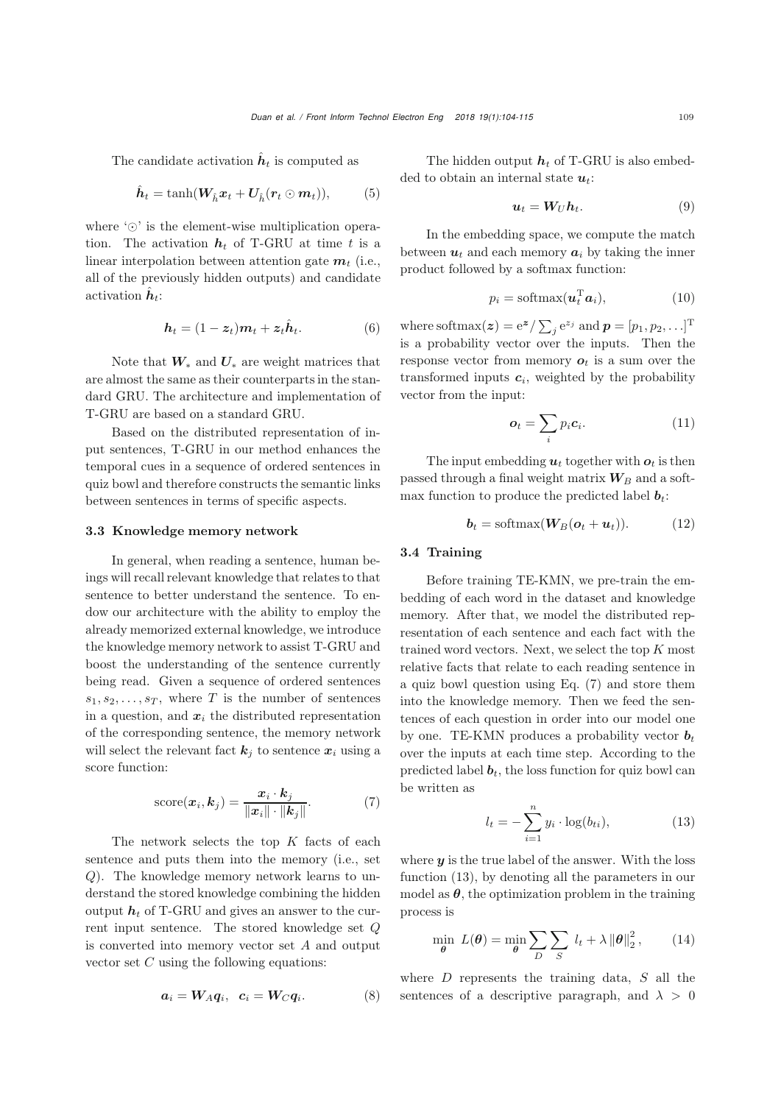The candidate activation  $\hat{h}_t$  is computed as

$$
\hat{\boldsymbol{h}}_t = \tanh(\boldsymbol{W}_{\hat{h}} \boldsymbol{x}_t + \boldsymbol{U}_{\hat{h}} (\boldsymbol{r}_t \odot \boldsymbol{m}_t)), \qquad (5)
$$

where  $\circlearrowright$  is the element-wise multiplication operation. The activation  $h_t$  of T-GRU at time t is a linear interpolation between attention gate  $m_t$  (i.e., all of the previously hidden outputs) and candidate activation  $\mathbf{h}_t$ :

$$
\boldsymbol{h}_t = (1 - \boldsymbol{z}_t)\boldsymbol{m}_t + \boldsymbol{z}_t \hat{\boldsymbol{h}}_t. \tag{6}
$$

Note that *W*<sup>∗</sup> and *U*<sup>∗</sup> are weight matrices that are almost the same as their counterparts in the standard GRU. The architecture and implementation of T-GRU are based on a standard GRU.

Based on the distributed representation of input sentences, T-GRU in our method enhances the temporal cues in a sequence of ordered sentences in quiz bowl and therefore constructs the semantic links between sentences in terms of specific aspects.

### 3.3 Knowledge memory network

In general, when reading a sentence, human beings will recall relevant knowledge that relates to that sentence to better understand the sentence. To endow our architecture with the ability to employ the already memorized external knowledge, we introduce the knowledge memory network to assist T-GRU and boost the understanding of the sentence currently being read. Given a sequence of ordered sentences  $s_1, s_2, \ldots, s_T$ , where T is the number of sentences in a question, and  $x_i$  the distributed representation of the corresponding sentence, the memory network will select the relevant fact  $k_j$  to sentence  $x_i$  using a score function:

<span id="page-5-0"></span>score
$$
(\boldsymbol{x}_i, \boldsymbol{k}_j)
$$
 =  $\frac{\boldsymbol{x}_i \cdot \boldsymbol{k}_j}{\|\boldsymbol{x}_i\| \cdot \|\boldsymbol{k}_j\|}$ . (7)

The network selects the top  $K$  facts of each sentence and puts them into the memory (i.e., set Q). The knowledge memory network learns to understand the stored knowledge combining the hidden output  $h_t$  of T-GRU and gives an answer to the current input sentence. The stored knowledge set Q is converted into memory vector set A and output vector set  $C$  using the following equations:

$$
a_i = W_A q_i, \quad c_i = W_C q_i. \tag{8}
$$

The hidden output  $h_t$  of T-GRU is also embedded to obtain an internal state *ut*:

$$
u_t = W_U h_t. \t\t(9)
$$

In the embedding space, we compute the match between  $u_t$  and each memory  $a_i$  by taking the inner product followed by a softmax function:

$$
p_i = \text{softmax}(\boldsymbol{u}_t^{\mathrm{T}} \boldsymbol{a}_i), \tag{10}
$$

where softmax $(z) = e^{z} / \sum_{j} e^{z_j}$  and  $p = [p_1, p_2, \ldots]^T$ is a probability vector over the inputs. Then the response vector from memory  $o_t$  is a sum over the transformed inputs  $c_i$ , weighted by the probability vector from the input:

$$
\boldsymbol{o}_t = \sum_i p_i \boldsymbol{c}_i. \tag{11}
$$

The input embedding  $u_t$  together with  $o_t$  is then passed through a final weight matrix  $W_B$  and a softmax function to produce the predicted label  $b_t$ :

$$
\boldsymbol{b}_t = \text{softmax}(\boldsymbol{W}_B(\boldsymbol{o}_t + \boldsymbol{u}_t)). \tag{12}
$$

# 3.4 Training

Before training TE-KMN, we pre-train the embedding of each word in the dataset and knowledge memory. After that, we model the distributed representation of each sentence and each fact with the trained word vectors. Next, we select the top K most relative facts that relate to each reading sentence in a quiz bowl question using Eq. [\(7\)](#page-5-0) and store them into the knowledge memory. Then we feed the sentences of each question in order into our model one by one. TE-KMN produces a probability vector  $b_t$ over the inputs at each time step. According to the predicted label  $\boldsymbol{b}_t$ , the loss function for quiz bowl can be written as

<span id="page-5-1"></span>
$$
l_t = -\sum_{i=1}^{n} y_i \cdot \log(b_{ti}), \tag{13}
$$

where  $y$  is the true label of the answer. With the loss function [\(13\)](#page-5-1), by denoting all the parameters in our model as  $\theta$ , the optimization problem in the training process is

$$
\min_{\boldsymbol{\theta}} L(\boldsymbol{\theta}) = \min_{\boldsymbol{\theta}} \sum_{D} \sum_{S} l_t + \lambda \|\boldsymbol{\theta}\|_2^2, \qquad (14)
$$

where  $D$  represents the training data,  $S$  all the sentences of a descriptive paragraph, and  $\lambda > 0$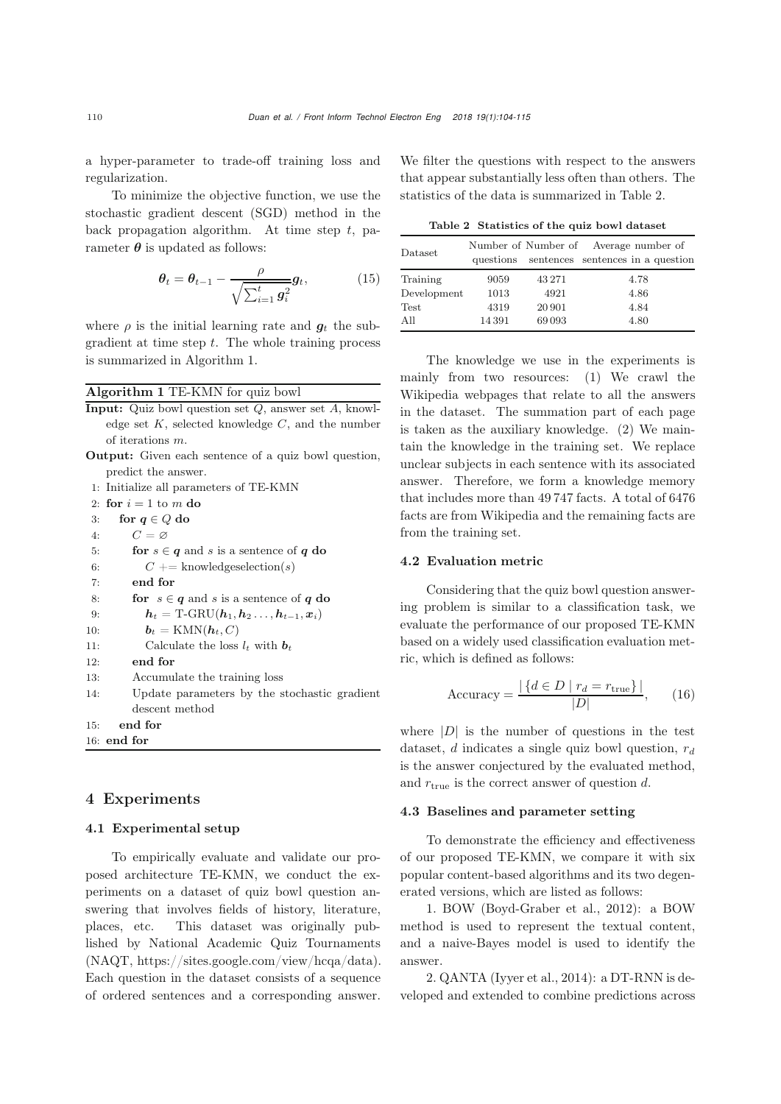a hyper-parameter to trade-off training loss and regularization.

To minimize the objective function, we use the stochastic gradient descent (SGD) method in the back propagation algorithm. At time step  $t$ , parameter  $\theta$  is updated as follows:

$$
\boldsymbol{\theta}_t = \boldsymbol{\theta}_{t-1} - \frac{\rho}{\sqrt{\sum_{i=1}^t g_i^2}} \boldsymbol{g}_t, \tag{15}
$$

where  $\rho$  is the initial learning rate and  $q_t$  the subgradient at time step  $t$ . The whole training process is summarized in Algorithm [1.](#page-6-0)

#### <span id="page-6-0"></span>Algorithm 1 TE-KMN for quiz bowl

| <b>Input:</b> Quiz bowl question set $Q$ , answer set $A$ , knowl- |
|--------------------------------------------------------------------|
| edge set $K$ , selected knowledge $C$ , and the number             |
| of iterations $m$ .                                                |
| Outpute Circo sook contained of a quin hour question               |

**Output:** Given each sentence of a quiz bowl question, predict the answer.

1: Initialize all parameters of TE-KMN 2: for  $i = 1$  to *m* do 3: for  $q \in Q$  do 4: *C* = ∅ 5: **for**  $s \in q$  and *s* is a sentence of *q* do 6:  $C \neq \text{knowledge selection}(s)$  $C \neq$  knowledgeselection(*s*) 7: end for 8: for  $s \in q$  and *s* is a sentence of *q* do<br>9:  $h_t = \text{T-GRU}(h_1, h_2, \ldots, h_{t-1}, x_i)$  $h_t = \text{T-GRU}(h_1, h_2, \ldots, h_{t-1}, x_i)$ 10:  $\boldsymbol{b}_t = \text{KMN}(\boldsymbol{h}_t, C)$ 11: Calculate the loss  $l_t$  with  $b_t$ 12: end for 13: Accumulate the training loss 14: Update parameters by the stochastic gradient descent method

- 15: end for
- 16: end for

# 4 Experiments

### 4.1 Experimental setup

To empirically evaluate and validate our proposed architecture TE-KMN, we conduct the experiments on a dataset of quiz bowl question answering that involves fields of history, literature, places, etc. This dataset was originally published by National Academic Quiz Tournaments (NAQT, https://sites.google.com/view/hcqa/data). Each question in the dataset consists of a sequence of ordered sentences and a corresponding answer.

We filter the questions with respect to the answers that appear substantially less often than others. The statistics of the data is summarized in Table [2.](#page-6-1)

<span id="page-6-1"></span>

|  |  | Table 2 Statistics of the quiz bowl dataset |  |  |  |  |
|--|--|---------------------------------------------|--|--|--|--|
|--|--|---------------------------------------------|--|--|--|--|

| Dataset     | questions |        | Number of Number of Average number of<br>sentences sentences in a question |
|-------------|-----------|--------|----------------------------------------------------------------------------|
| Training    | 9059      | 43 271 | 4.78                                                                       |
| Development | 1013      | 4921   | 4.86                                                                       |
| Test        | 4319      | 20 901 | 4.84                                                                       |
| A 11        | 14391     | 69093  | 4.80                                                                       |

The knowledge we use in the experiments is mainly from two resources: (1) We crawl the Wikipedia webpages that relate to all the answers in the dataset. The summation part of each page is taken as the auxiliary knowledge. (2) We maintain the knowledge in the training set. We replace unclear subjects in each sentence with its associated answer. Therefore, we form a knowledge memory that includes more than 49 747 facts. A total of 6476 facts are from Wikipedia and the remaining facts are from the training set.

#### 4.2 Evaluation metric

Considering that the quiz bowl question answering problem is similar to a classification task, we evaluate the performance of our proposed TE-KMN based on a widely used classification evaluation metric, which is defined as follows:

$$
\text{Accuracy} = \frac{|\{d \in D \mid r_d = r_{\text{true}}\}|}{|D|},\qquad(16)
$$

where  $|D|$  is the number of questions in the test dataset, d indicates a single quiz bowl question, r*<sup>d</sup>* is the answer conjectured by the evaluated method, and  $r_{\text{true}}$  is the correct answer of question d.

# 4.3 Baselines and parameter setting

To demonstrate the efficiency and effectiveness of our proposed TE-KMN, we compare it with six popular content-based algorithms and its two degenerated versions, which are listed as follows:

1. BOW [\(Boyd-Graber et al., 2012](#page-9-2)): a BOW method is used to represent the textual content, and a naive-Bayes model is used to identify the answer.

2. QANTA [\(Iyyer et al.](#page-10-3), [2014](#page-10-3)): a DT-RNN is developed and extended to combine predictions across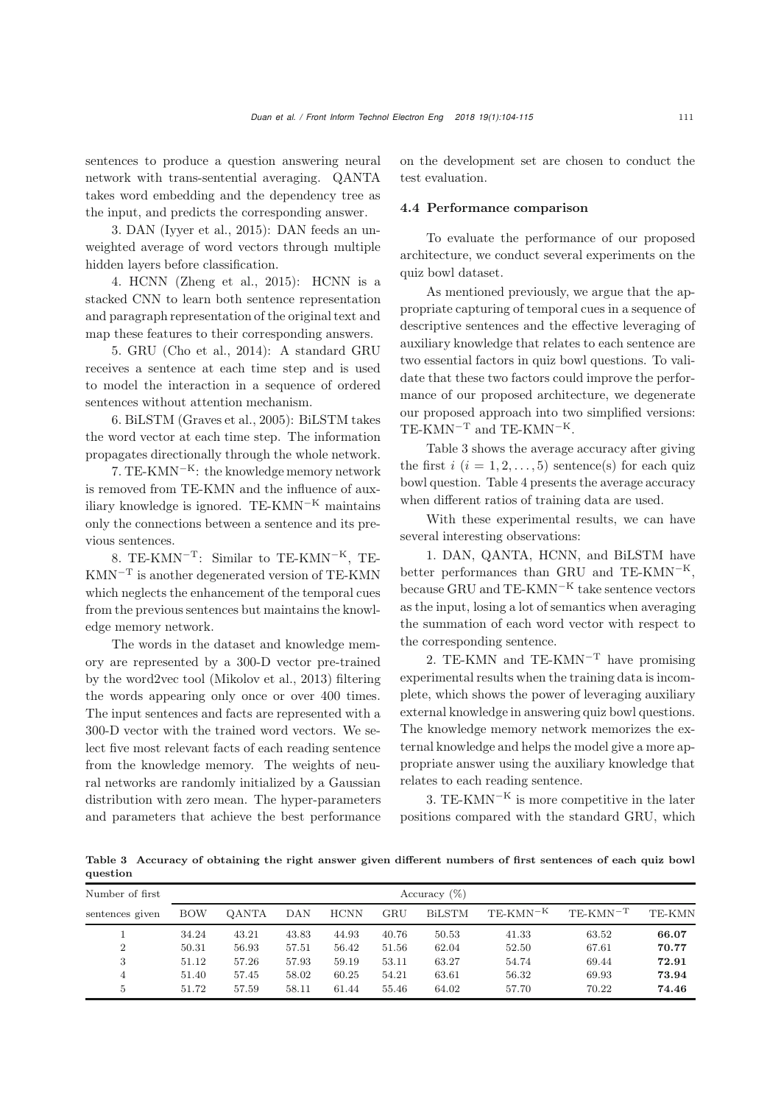sentences to produce a question answering neural network with trans-sentential averaging. QANTA takes word embedding and the dependency tree as the input, and predicts the corresponding answer.

3. DAN [\(Iyyer et al., 2015](#page-10-24)): DAN feeds an unweighted average of word vectors through multiple hidden layers before classification.

4. HCNN [\(Zheng et al., 2015](#page-11-2)): HCNN is a stacked CNN to learn both sentence representation and paragraph representation of the original text and map these features to their corresponding answers.

5. GRU [\(Cho et al.](#page-9-4), [2014](#page-9-4)): A standard GRU receives a sentence at each time step and is used to model the interaction in a sequence of ordered sentences without attention mechanism.

6. BiLSTM [\(Graves et al.](#page-9-8), [2005\)](#page-9-8): BiLSTM takes the word vector at each time step. The information propagates directionally through the whole network.

7. TE-KMN<sup> $-K$ </sup>: the knowledge memory network is removed from TE-KMN and the influence of auxiliary knowledge is ignored. TE-KMN<sup>-K</sup> maintains only the connections between a sentence and its previous sentences.

8. TE-KMN−T: Similar to TE-KMN−K, TE-KMN−<sup>T</sup> is another degenerated version of TE-KMN which neglects the enhancement of the temporal cues from the previous sentences but maintains the knowledge memory network.

The words in the dataset and knowledge memory are represented by a 300-D vector pre-trained by the word2vec tool [\(Mikolov et al.](#page-10-29), [2013](#page-10-29)) filtering the words appearing only once or over 400 times. The input sentences and facts are represented with a 300-D vector with the trained word vectors. We select five most relevant facts of each reading sentence from the knowledge memory. The weights of neural networks are randomly initialized by a Gaussian distribution with zero mean. The hyper-parameters and parameters that achieve the best performance on the development set are chosen to conduct the test evaluation.

# 4.4 Performance comparison

To evaluate the performance of our proposed architecture, we conduct several experiments on the quiz bowl dataset.

As mentioned previously, we argue that the appropriate capturing of temporal cues in a sequence of descriptive sentences and the effective leveraging of auxiliary knowledge that relates to each sentence are two essential factors in quiz bowl questions. To validate that these two factors could improve the performance of our proposed architecture, we degenerate our proposed approach into two simplified versions: TE-KMN<sup> $-T$ </sup> and TE-KMN<sup> $-K$ </sup>.

Table [3](#page-7-0) shows the average accuracy after giving the first  $i$   $(i = 1, 2, \ldots, 5)$  sentence(s) for each quiz bowl question. Table [4](#page-8-0) presents the average accuracy when different ratios of training data are used.

With these experimental results, we can have several interesting observations:

1. DAN, QANTA, HCNN, and BiLSTM have better performances than GRU and TE-KMN<sup>-K</sup>, because GRU and TE-KMN<sup>-K</sup> take sentence vectors as the input, losing a lot of semantics when averaging the summation of each word vector with respect to the corresponding sentence.

2. TE-KMN and TE-KMN<sup> $-T$ </sup> have promising experimental results when the training data is incomplete, which shows the power of leveraging auxiliary external knowledge in answering quiz bowl questions. The knowledge memory network memorizes the external knowledge and helps the model give a more appropriate answer using the auxiliary knowledge that relates to each reading sentence.

3. TE-KMN<sup> $-K$ </sup> is more competitive in the later positions compared with the standard GRU, which

<span id="page-7-0"></span>Table 3 Accuracy of obtaining the right answer given different numbers of first sentences of each quiz bowl question

| Number of first |            |       |       |             |       | Accuracy $(\%)$ |                          |               |        |
|-----------------|------------|-------|-------|-------------|-------|-----------------|--------------------------|---------------|--------|
| sentences given | <b>BOW</b> | OANTA | DAN   | <b>HCNN</b> | GRU   | <b>BiLSTM</b>   | $TE\text{-}KMN\text{-}K$ | $TE-KMN^{-T}$ | TE-KMN |
|                 | 34.24      | 43.21 | 43.83 | 44.93       | 40.76 | 50.53           | 41.33                    | 63.52         | 66.07  |
| $\overline{2}$  | 50.31      | 56.93 | 57.51 | 56.42       | 51.56 | 62.04           | 52.50                    | 67.61         | 70.77  |
| 3               | 51.12      | 57.26 | 57.93 | 59.19       | 53.11 | 63.27           | 54.74                    | 69.44         | 72.91  |
| 4               | 51.40      | 57.45 | 58.02 | 60.25       | 54.21 | 63.61           | 56.32                    | 69.93         | 73.94  |
| 5               | 51.72      | 57.59 | 58.11 | 61.44       | 55.46 | 64.02           | 57.70                    | 70.22         | 74.46  |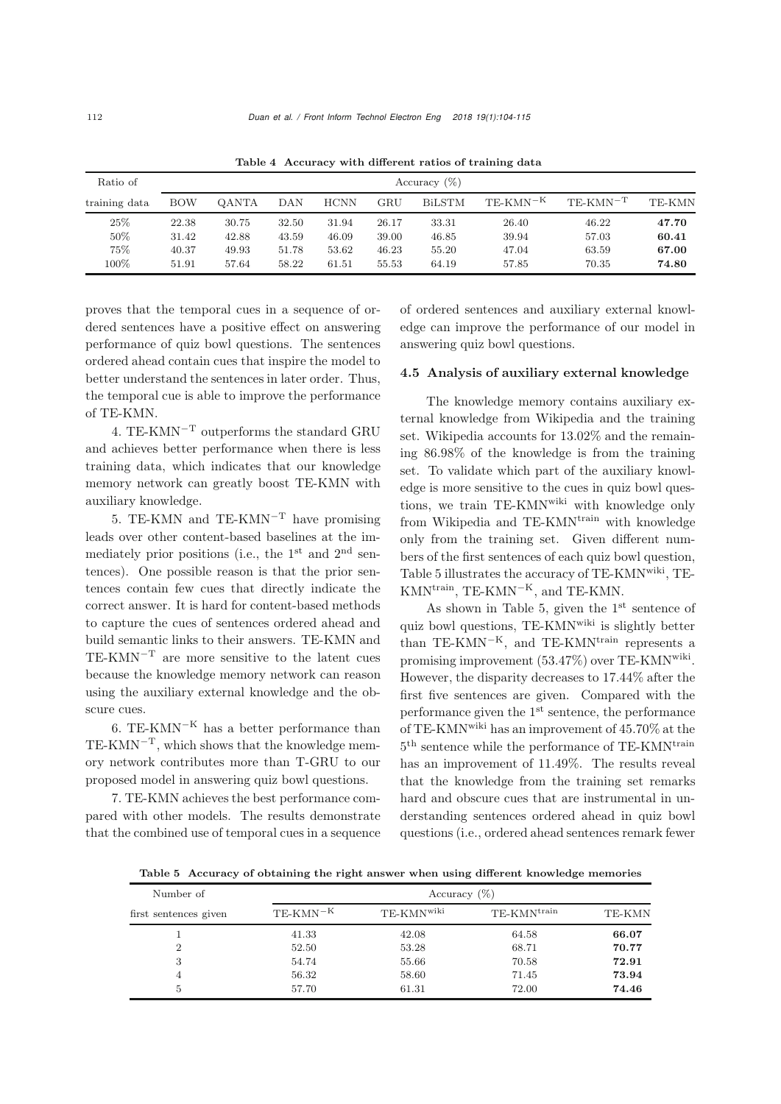| Ratio of      |       | Accuracy $(\%)$ |       |             |       |               |                             |               |        |  |
|---------------|-------|-----------------|-------|-------------|-------|---------------|-----------------------------|---------------|--------|--|
| training data | BOW   | <b>OANTA</b>    | DAN   | <b>HCNN</b> | GRU   | <b>BiLSTM</b> | $\text{TE-KMN}^{-\text{K}}$ | $TE-KMN^{-T}$ | TE-KMN |  |
| 25\%          | 22.38 | 30.75           | 32.50 | 31.94       | 26.17 | 33.31         | 26.40                       | 46.22         | 47.70  |  |
| 50%           | 31.42 | 42.88           | 43.59 | 46.09       | 39.00 | 46.85         | 39.94                       | 57.03         | 60.41  |  |
| 75%           | 40.37 | 49.93           | 51.78 | 53.62       | 46.23 | 55.20         | 47.04                       | 63.59         | 67.00  |  |
| 100%          | 51.91 | 57.64           | 58.22 | 61.51       | 55.53 | 64.19         | 57.85                       | 70.35         | 74.80  |  |

<span id="page-8-0"></span>Table 4 Accuracy with different ratios of training data

proves that the temporal cues in a sequence of ordered sentences have a positive effect on answering performance of quiz bowl questions. The sentences ordered ahead contain cues that inspire the model to better understand the sentences in later order. Thus, the temporal cue is able to improve the performance of TE-KMN.

4. TE-KMN−<sup>T</sup> outperforms the standard GRU and achieves better performance when there is less training data, which indicates that our knowledge memory network can greatly boost TE-KMN with auxiliary knowledge.

5. TE-KMN and TE-KMN<sup> $-T$ </sup> have promising leads over other content-based baselines at the immediately prior positions (i.e., the  $1<sup>st</sup>$  and  $2<sup>nd</sup>$  sentences). One possible reason is that the prior sentences contain few cues that directly indicate the correct answer. It is hard for content-based methods to capture the cues of sentences ordered ahead and build semantic links to their answers. TE-KMN and TE-KMN−<sup>T</sup> are more sensitive to the latent cues because the knowledge memory network can reason using the auxiliary external knowledge and the obscure cues.

6. TE-KMN<sup>-K</sup> has a better performance than  $TE-KMN<sup>-T</sup>$ , which shows that the knowledge memory network contributes more than T-GRU to our proposed model in answering quiz bowl questions.

7. TE-KMN achieves the best performance compared with other models. The results demonstrate that the combined use of temporal cues in a sequence

of ordered sentences and auxiliary external knowledge can improve the performance of our model in answering quiz bowl questions.

#### 4.5 Analysis of auxiliary external knowledge

The knowledge memory contains auxiliary external knowledge from Wikipedia and the training set. Wikipedia accounts for 13.02% and the remaining 86.98% of the knowledge is from the training set. To validate which part of the auxiliary knowledge is more sensitive to the cues in quiz bowl questions, we train TE-KMNwiki with knowledge only from Wikipedia and TE-KMN<sup>train</sup> with knowledge only from the training set. Given different numbers of the first sentences of each quiz bowl question, Table [5](#page-8-1) illustrates the accuracy of TE-KMNwiki, TE-KMN<sup>train</sup>, TE-KMN<sup>-K</sup>, and TE-KMN.

As shown in Table [5,](#page-8-1) given the  $1<sup>st</sup>$  sentence of quiz bowl questions, TE-KMNwiki is slightly better than TE-KMN<sup>-K</sup>, and TE-KMN<sup>train</sup> represents a promising improvement (53.47%) over TE-KMNwiki. However, the disparity decreases to 17.44% after the first five sentences are given. Compared with the performance given the 1st sentence, the performance of TE-KMNwiki has an improvement of 45.70% at the  $5<sup>th</sup>$  sentence while the performance of TE-KMN<sup>train</sup> has an improvement of 11.49%. The results reveal that the knowledge from the training set remarks hard and obscure cues that are instrumental in understanding sentences ordered ahead in quiz bowl questions (i.e., ordered ahead sentences remark fewer

<span id="page-8-1"></span>Table 5 Accuracy of obtaining the right answer when using different knowledge memories

| Number of             |            | Accuracy $(\%)$        |                  |        |
|-----------------------|------------|------------------------|------------------|--------|
| first sentences given | $TE-KMN-K$ | TE-KMN <sup>wiki</sup> | $TE-KMN^{train}$ | TE-KMN |
|                       | 41.33      | 42.08                  | 64.58            | 66.07  |
| $\overline{2}$        | 52.50      | 53.28                  | 68.71            | 70.77  |
| 3                     | 54.74      | 55.66                  | 70.58            | 72.91  |
| 4                     | 56.32      | 58.60                  | 71.45            | 73.94  |
| 5                     | 57.70      | 61.31                  | 72.00            | 74.46  |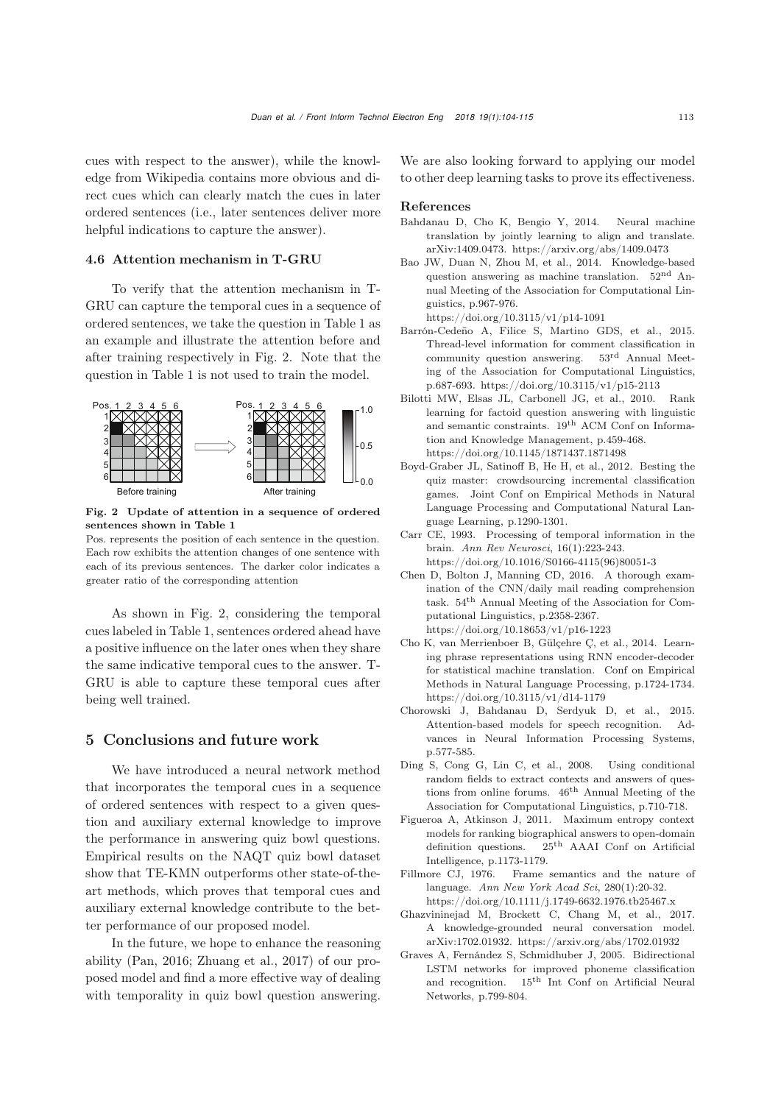cues with respect to the answer), while the knowledge from Wikipedia contains more obvious and direct cues which can clearly match the cues in later ordered sentences (i.e., later sentences deliver more helpful indications to capture the answer).

# 4.6 Attention mechanism in T-GRU

To verify that the attention mechanism in T-GRU can capture the temporal cues in a sequence of ordered sentences, we take the question in Table [1](#page-0-0) as an example and illustrate the attention before and after training respectively in Fig. [2.](#page-9-14) Note that the question in Table [1](#page-0-0) is not used to train the model.



<span id="page-9-14"></span>Fig. 2 Update of attention in a sequence of ordered sentences shown in Table [1](#page-0-0)

Pos. represents the position of each sentence in the question. Each row exhibits the attention changes of one sentence with each of its previous sentences. The darker color indicates a greater ratio of the corresponding attention

As shown in Fig. [2,](#page-9-14) considering the temporal cues labeled in Table [1,](#page-0-0) sentences ordered ahead have a positive influence on the later ones when they share the same indicative temporal cues to the answer. T-GRU is able to capture these temporal cues after being well trained.

# 5 Conclusions and future work

We have introduced a neural network method that incorporates the temporal cues in a sequence of ordered sentences with respect to a given question and auxiliary external knowledge to improve the performance in answering quiz bowl questions. Empirical results on the NAQT quiz bowl dataset show that TE-KMN outperforms other state-of-theart methods, which proves that temporal cues and auxiliary external knowledge contribute to the better performance of our proposed model.

In the future, we hope to enhance the reasoning ability [\(Pan](#page-10-30), [2016](#page-10-30); [Zhuang et al., 2017](#page-11-6)) of our proposed model and find a more effective way of dealing with temporality in quiz bowl question answering.

We are also looking forward to applying our model to other deep learning tasks to prove its effectiveness.

# References

- <span id="page-9-9"></span>Bahdanau D, Cho K, Bengio Y, 2014. Neural machine translation by jointly learning to align and translate. arXiv:1409.0473. https://arxiv.org/abs/1409.0473
- <span id="page-9-1"></span>Bao JW, Duan N, Zhou M, et al., 2014. Knowledge-based question answering as machine translation. 52nd Annual Meeting of the Association for Computational Linguistics, p.967-976.

https://doi.org/10.3115/v1/p14-1091

- <span id="page-9-7"></span>Barrón-Cedeño A, Filice S, Martino GDS, et al., 2015. Thread-level information for comment classification in community question answering. 53rd Annual Meeting of the Association for Computational Linguistics, p.687-693. https://doi.org/10.3115/v1/p15-2113
- <span id="page-9-0"></span>Bilotti MW, Elsas JL, Carbonell JG, et al., 2010. Rank learning for factoid question answering with linguistic and semantic constraints. 19th ACM Conf on Information and Knowledge Management, p.459-468. https://doi.org/10.1145/1871437.1871498
- <span id="page-9-2"></span>Boyd-Graber JL, Satinoff B, He H, et al., 2012. Besting the quiz master: crowdsourcing incremental classification games. Joint Conf on Empirical Methods in Natural Language Processing and Computational Natural Language Learning, p.1290-1301.
- <span id="page-9-3"></span>Carr CE, 1993. Processing of temporal information in the brain. *Ann Rev Neurosci*, 16(1):223-243. https://doi.org/10.1016/S0166-4115(96)80051-3
- <span id="page-9-10"></span>Chen D, Bolton J, Manning CD, 2016. A thorough examination of the CNN/daily mail reading comprehension task. 54th Annual Meeting of the Association for Computational Linguistics, p.2358-2367. https://doi.org/10.18653/v1/p16-1223
- <span id="page-9-4"></span>Cho K, van Merrienboer B, Gülçehre Ç, et al., 2014. Learning phrase representations using RNN encoder-decoder for statistical machine translation. Conf on Empirical Methods in Natural Language Processing, p.1724-1734. https://doi.org/10.3115/v1/d14-1179
- <span id="page-9-11"></span>Chorowski J, Bahdanau D, Serdyuk D, et al., 2015. Attention-based models for speech recognition. Advances in Neural Information Processing Systems, p.577-585.
- <span id="page-9-5"></span>Ding S, Cong G, Lin C, et al., 2008. Using conditional random fields to extract contexts and answers of questions from online forums. 46th Annual Meeting of the Association for Computational Linguistics, p.710-718.
- <span id="page-9-6"></span>Figueroa A, Atkinson J, 2011. Maximum entropy context models for ranking biographical answers to open-domain definition questions. 25th AAAI Conf on Artificial Intelligence, p.1173-1179.
- <span id="page-9-12"></span>Fillmore CJ, 1976. Frame semantics and the nature of language. *Ann New York Acad Sci*, 280(1):20-32. https://doi.org/10.1111/j.1749-6632.1976.tb25467.x
- <span id="page-9-13"></span>Ghazvininejad M, Brockett C, Chang M, et al., 2017. A knowledge-grounded neural conversation model. arXiv:1702.01932. https://arxiv.org/abs/1702.01932
- <span id="page-9-8"></span>Graves A, Fernández S, Schmidhuber J, 2005. Bidirectional LSTM networks for improved phoneme classification and recognition. 15th Int Conf on Artificial Neural Networks, p.799-804.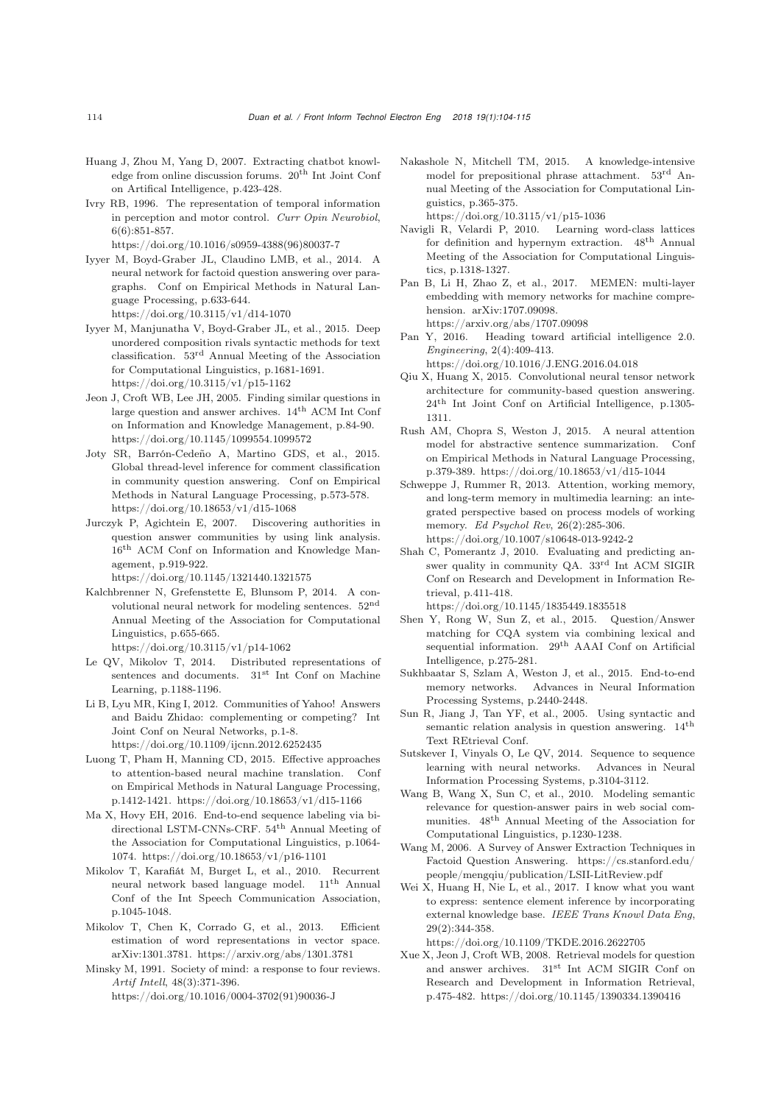- <span id="page-10-9"></span>Huang J, Zhou M, Yang D, 2007. Extracting chatbot knowledge from online discussion forums. 20th Int Joint Conf on Artifical Intelligence, p.423-428.
- <span id="page-10-4"></span>Ivry RB, 1996. The representation of temporal information in perception and motor control. *Curr Opin Neurobiol*, 6(6):851-857. https://doi.org/10.1016/s0959-4388(96)80037-7
- <span id="page-10-3"></span>Iyyer M, Boyd-Graber JL, Claudino LMB, et al., 2014. A neural network for factoid question answering over paragraphs. Conf on Empirical Methods in Natural Language Processing, p.633-644. https://doi.org/10.3115/v1/d14-1070
- <span id="page-10-24"></span>Iyyer M, Manjunatha V, Boyd-Graber JL, et al., 2015. Deep unordered composition rivals syntactic methods for text classification. 53rd Annual Meeting of the Association for Computational Linguistics, p.1681-1691. https://doi.org/10.3115/v1/p15-1162
- <span id="page-10-12"></span>Jeon J, Croft WB, Lee JH, 2005. Finding similar questions in large question and answer archives.  $14<sup>th</sup>$  ACM Int Conf on Information and Knowledge Management, p.84-90. https://doi.org/10.1145/1099554.1099572
- <span id="page-10-11"></span>Joty SR, Barrón-Cedeño A, Martino GDS, et al., 2015. Global thread-level inference for comment classification in community question answering. Conf on Empirical Methods in Natural Language Processing, p.573-578. https://doi.org/10.18653/v1/d15-1068
- <span id="page-10-0"></span>Jurczyk P, Agichtein E, 2007. Discovering authorities in question answer communities by using link analysis. 16th ACM Conf on Information and Knowledge Management, p.919-922.

https://doi.org/10.1145/1321440.1321575

- <span id="page-10-17"></span>Kalchbrenner N, Grefenstette E, Blunsom P, 2014. A convolutional neural network for modeling sentences. 52nd Annual Meeting of the Association for Computational Linguistics, p.655-665.
	- https://doi.org/10.3115/v1/p14-1062
- <span id="page-10-18"></span>Le QV, Mikolov T, 2014. Distributed representations of sentences and documents. 31<sup>st</sup> Int Conf on Machine Learning, p.1188-1196.
- <span id="page-10-1"></span>Li B, Lyu MR, King I, 2012. Communities of Yahoo! Answers and Baidu Zhidao: complementing or competing? Int Joint Conf on Neural Networks, p.1-8. https://doi.org/10.1109/ijcnn.2012.6252435
- <span id="page-10-22"></span>Luong T, Pham H, Manning CD, 2015. Effective approaches to attention-based neural machine translation. Conf on Empirical Methods in Natural Language Processing, p.1412-1421. https://doi.org/10.18653/v1/d15-1166
- <span id="page-10-21"></span>Ma X, Hovy EH, 2016. End-to-end sequence labeling via bidirectional LSTM-CNNs-CRF.  $54^{\text{th}}$  Annual Meeting of the Association for Computational Linguistics, p.1064- 1074. https://doi.org/10.18653/v1/p16-1101
- <span id="page-10-20"></span>Mikolov T, Karafiát M, Burget L, et al., 2010. Recurrent neural network based language model. 11th Annual Conf of the Int Speech Communication Association, p.1045-1048.
- <span id="page-10-29"></span>Mikolov T, Chen K, Corrado G, et al., 2013. Efficient estimation of word representations in vector space. arXiv:1301.3781. https://arxiv.org/abs/1301.3781
- <span id="page-10-5"></span>Minsky M, 1991. Society of mind: a response to four reviews. *Artif Intell*, 48(3):371-396.

https://doi.org/10.1016/0004-3702(91)90036-J

- <span id="page-10-25"></span>Nakashole N, Mitchell TM, 2015. A knowledge-intensive model for prepositional phrase attachment. 53rd Annual Meeting of the Association for Computational Linguistics, p.365-375. https://doi.org/10.3115/v1/p15-1036
- <span id="page-10-8"></span>Navigli R, Velardi P, 2010. Learning word-class lattices for definition and hypernym extraction. 48th Annual Meeting of the Association for Computational Linguistics, p.1318-1327.
- <span id="page-10-28"></span>Pan B, Li H, Zhao Z, et al., 2017. MEMEN: multi-layer embedding with memory networks for machine comprehension. arXiv:1707.09098. https://arxiv.org/abs/1707.09098
- <span id="page-10-30"></span>Pan Y, 2016. Heading toward artificial intelligence 2.0. *Engineering*, 2(4):409-413.
	- https://doi.org/10.1016/J.ENG.2016.04.018
- <span id="page-10-16"></span>Qiu X, Huang X, 2015. Convolutional neural tensor network architecture for community-based question answering. 24th Int Joint Conf on Artificial Intelligence, p.1305- 1311.
- <span id="page-10-23"></span>Rush AM, Chopra S, Weston J, 2015. A neural attention model for abstractive sentence summarization. Conf on Empirical Methods in Natural Language Processing, p.379-389. https://doi.org/10.18653/v1/d15-1044
- <span id="page-10-6"></span>Schweppe J, Rummer R, 2013. Attention, working memory, and long-term memory in multimedia learning: an integrated perspective based on process models of working memory. *Ed Psychol Rev*, 26(2):285-306. https://doi.org/10.1007/s10648-013-9242-2
- <span id="page-10-10"></span>Shah C, Pomerantz J, 2010. Evaluating and predicting answer quality in community QA. 33rd Int ACM SIGIR Conf on Research and Development in Information Retrieval, p.411-418.

https://doi.org/10.1145/1835449.1835518

- <span id="page-10-15"></span>Shen Y, Rong W, Sun Z, et al., 2015. Question/Answer matching for CQA system via combining lexical and sequential information. 29<sup>th</sup> AAAI Conf on Artificial Intelligence, p.275-281.
- <span id="page-10-27"></span>Sukhbaatar S, Szlam A, Weston J, et al., 2015. End-to-end memory networks. Advances in Neural Information Processing Systems, p.2440-2448.
- <span id="page-10-7"></span>Sun R, Jiang J, Tan YF, et al., 2005. Using syntactic and semantic relation analysis in question answering.  $\,14^{\rm th}\,$ Text REtrieval Conf.
- <span id="page-10-19"></span>Sutskever I, Vinyals O, Le QV, 2014. Sequence to sequence learning with neural networks. Advances in Neural Information Processing Systems, p.3104-3112.
- <span id="page-10-14"></span>Wang B, Wang X, Sun C, et al., 2010. Modeling semantic relevance for question-answer pairs in web social communities. 48th Annual Meeting of the Association for Computational Linguistics, p.1230-1238.
- <span id="page-10-2"></span>Wang M, 2006. A Survey of Answer Extraction Techniques in Factoid Question Answering. [https://cs.stanford.edu/](https://cs.stanford.edu/people/mengqiu/publication/LSII-LitReview.pdf) [people/mengqiu/publication/LSII-LitReview.pdf](https://cs.stanford.edu/people/mengqiu/publication/LSII-LitReview.pdf)
- <span id="page-10-26"></span>Wei X, Huang H, Nie L, et al., 2017. I know what you want to express: sentence element inference by incorporating external knowledge base. *IEEE Trans Knowl Data Eng*, 29(2):344-358.
	- https://doi.org/10.1109/TKDE.2016.2622705
- <span id="page-10-13"></span>Xue X, Jeon J, Croft WB, 2008. Retrieval models for question and answer archives. 31st Int ACM SIGIR Conf on Research and Development in Information Retrieval, p.475-482. https://doi.org/10.1145/1390334.1390416